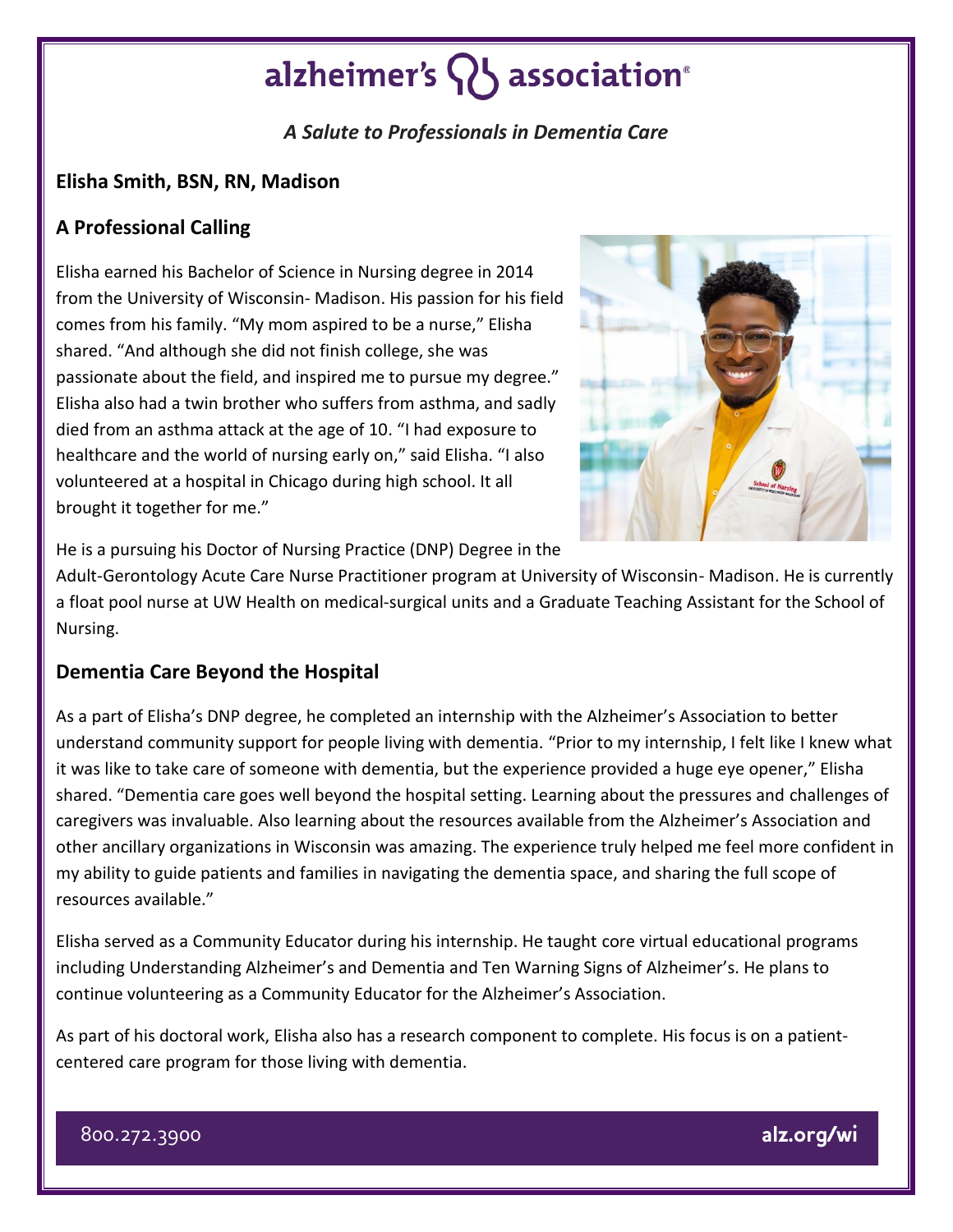## alzheimer's  $\{ \}$  association<sup>®</sup>

### *A Salute to Professionals in Dementia Care*

#### **Elisha Smith, BSN, RN, Madison**

#### **A Professional Calling**

Elisha earned his Bachelor of Science in Nursing degree in 2014 from the University of Wisconsin- Madison. His passion for his field comes from his family. "My mom aspired to be a nurse," Elisha shared. "And although she did not finish college, she was passionate about the field, and inspired me to pursue my degree." Elisha also had a twin brother who suffers from asthma, and sadly died from an asthma attack at the age of 10. "I had exposure to healthcare and the world of nursing early on," said Elisha. "I also volunteered at a hospital in Chicago during high school. It all brought it together for me."



He is a pursuing his Doctor of Nursing Practice (DNP) Degree in the

Adult-Gerontology Acute Care Nurse Practitioner program at University of Wisconsin- Madison. He is currently a float pool nurse at UW Health on medical-surgical units and a Graduate Teaching Assistant for the School of Nursing.

#### **Dementia Care Beyond the Hospital**

As a part of Elisha's DNP degree, he completed an internship with the Alzheimer's Association to better understand community support for people living with dementia. "Prior to my internship, I felt like I knew what it was like to take care of someone with dementia, but the experience provided a huge eye opener," Elisha shared. "Dementia care goes well beyond the hospital setting. Learning about the pressures and challenges of caregivers was invaluable. Also learning about the resources available from the Alzheimer's Association and other ancillary organizations in Wisconsin was amazing. The experience truly helped me feel more confident in my ability to guide patients and families in navigating the dementia space, and sharing the full scope of resources available."

Elisha served as a Community Educator during his internship. He taught core virtual educational programs including Understanding Alzheimer's and Dementia and Ten Warning Signs of Alzheimer's. He plans to continue volunteering as a Community Educator for the Alzheimer's Association.

As part of his doctoral work, Elisha also has a research component to complete. His focus is on a patientcentered care program for those living with dementia.

800.272.3900